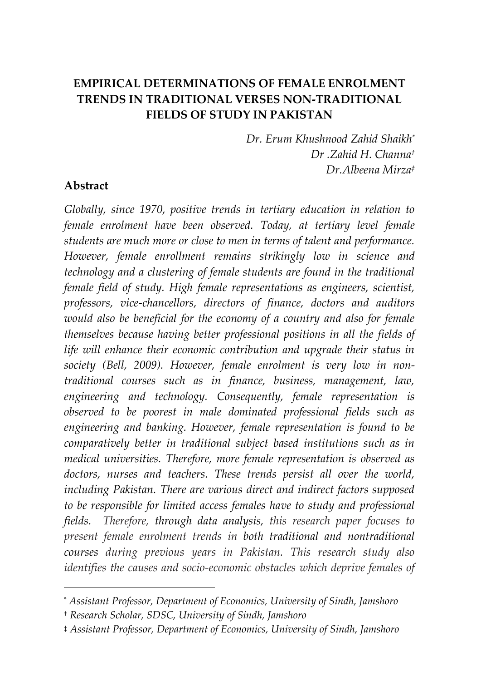# **EMPIRICAL DETERMINATIONS OF FEMALE ENROLMENT TRENDS IN TRADITIONAL VERSES NON-TRADITIONAL FIELDS OF STUDY IN PAKISTAN**

*Dr. Erum Khushnood Zahid Shaikh\* Dr .Zahid H. Channa† Dr.Albeena Mirza‡*

#### **Abstract**

 $\overline{a}$ 

*Globally, since 1970, positive trends in tertiary education in relation to female enrolment have been observed. Today, at tertiary level female students are much more or close to men in terms of talent and performance. However, female enrollment remains strikingly low in science and technology and a clustering of female students are found in the traditional female field of study. High female representations as engineers, scientist, professors, vice-chancellors, directors of finance, doctors and auditors would also be beneficial for the economy of a country and also for female themselves because having better professional positions in all the fields of life will enhance their economic contribution and upgrade their status in society (Bell, 2009). However, female enrolment is very low in nontraditional courses such as in finance, business, management, law, engineering and technology. Consequently, female representation is observed to be poorest in male dominated professional fields such as engineering and banking. However, female representation is found to be comparatively better in traditional subject based institutions such as in medical universities. Therefore, more female representation is observed as doctors, nurses and teachers. These trends persist all over the world, including Pakistan. There are various direct and indirect factors supposed to be responsible for limited access females have to study and professional fields. Therefore, through data analysis, this research paper focuses to present female enrolment trends in both traditional and nontraditional courses during previous years in Pakistan. This research study also identifies the causes and socio-economic obstacles which deprive females of* 

<sup>\*</sup> *Assistant Professor, Department of Economics, University of Sindh, Jamshoro*

<sup>†</sup> *Research Scholar, SDSC, University of Sindh, Jamshoro*

<sup>‡</sup> *Assistant Professor, Department of Economics, University of Sindh, Jamshoro*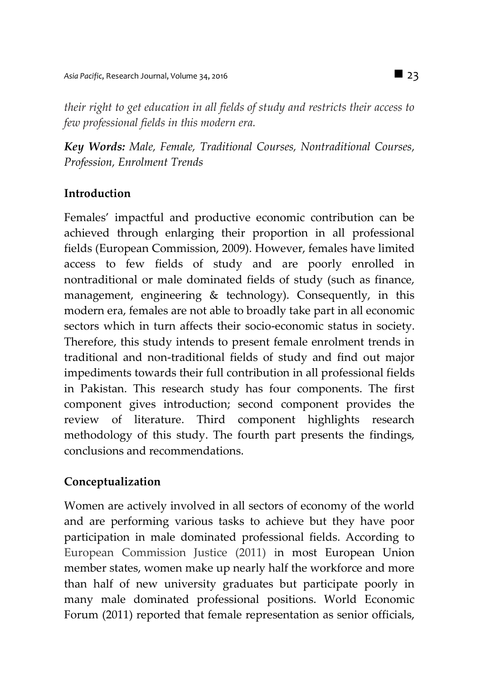*their right to get education in all fields of study and restricts their access to few professional fields in this modern era.*

*Key Words: Male, Female, Traditional Courses, Nontraditional Courses, Profession, Enrolment Trends*

## **Introduction**

Females' impactful and productive economic contribution can be achieved through enlarging their proportion in all professional fields (European Commission, 2009). However, females have limited access to few fields of study and are poorly enrolled in nontraditional or male dominated fields of study (such as finance, management, engineering & technology). Consequently, in this modern era, females are not able to broadly take part in all economic sectors which in turn affects their socio-economic status in society. Therefore, this study intends to present female enrolment trends in traditional and non-traditional fields of study and find out major impediments towards their full contribution in all professional fields in Pakistan. This research study has four components. The first component gives introduction; second component provides the review of literature. Third component highlights research methodology of this study. The fourth part presents the findings, conclusions and recommendations.

## **Conceptualization**

Women are actively involved in all sectors of economy of the world and are performing various tasks to achieve but they have poor participation in male dominated professional fields. According to European Commission Justice (2011) in most European Union member states, women make up nearly half the workforce and more than half of new university graduates but participate poorly in many male dominated professional positions. World Economic Forum (2011) reported that female representation as senior officials,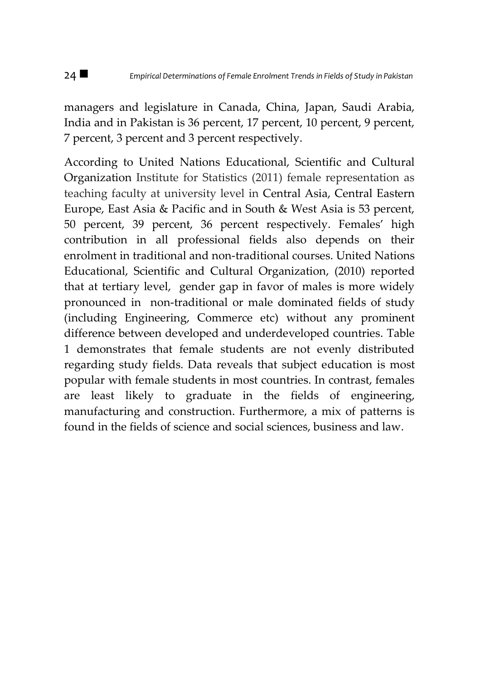managers and legislature in Canada, China, Japan, Saudi Arabia, India and in Pakistan is 36 percent, 17 percent, 10 percent, 9 percent, 7 percent, 3 percent and 3 percent respectively.

According to United Nations Educational, Scientific and Cultural Organization Institute for Statistics (2011) female representation as teaching faculty at university level in Central Asia, Central Eastern Europe, East Asia & Pacific and in South & West Asia is 53 percent, 50 percent, 39 percent, 36 percent respectively. Females' high contribution in all professional fields also depends on their enrolment in traditional and non-traditional courses. United Nations Educational, Scientific and Cultural Organization, (2010) reported that at tertiary level, gender gap in favor of males is more widely pronounced in non-traditional or male dominated fields of study (including Engineering, Commerce etc) without any prominent difference between developed and underdeveloped countries. Table 1 demonstrates that female students are not evenly distributed regarding study fields. Data reveals that subject education is most popular with female students in most countries. In contrast, females are least likely to graduate in the fields of engineering, manufacturing and construction. Furthermore, a mix of patterns is found in the fields of science and social sciences, business and law.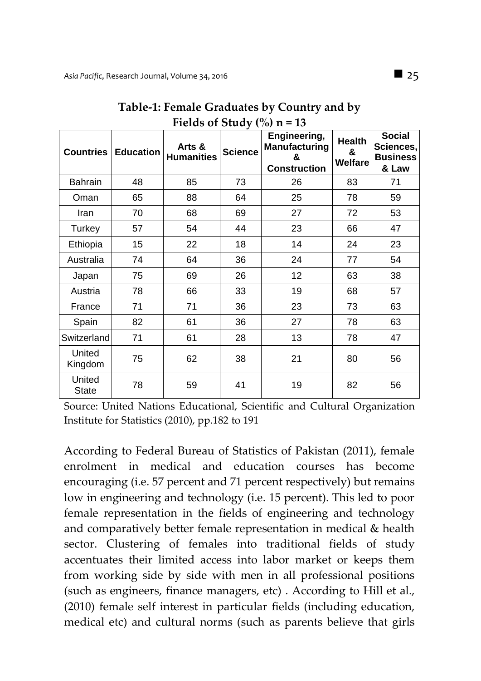| <b>Countries</b>       | <b>Education</b> | $1.10140$ of state, (70) if<br>Arts &<br><b>Humanities</b> | <b>Science</b> | Engineering,<br>Manufacturing<br>&<br><b>Construction</b> | <b>Health</b><br>&<br>Welfare | <b>Social</b><br>Sciences,<br><b>Business</b><br>& Law |
|------------------------|------------------|------------------------------------------------------------|----------------|-----------------------------------------------------------|-------------------------------|--------------------------------------------------------|
| <b>Bahrain</b>         | 48               | 85                                                         | 73             | 26                                                        | 83                            | 71                                                     |
| Oman                   | 65               | 88                                                         | 64             | 25                                                        | 78                            | 59                                                     |
| Iran                   | 70               | 68                                                         | 69             | 27                                                        | 72                            | 53                                                     |
| Turkey                 | 57               | 54                                                         | 44             | 23                                                        | 66                            | 47                                                     |
| Ethiopia               | 15               | 22                                                         | 18             | 14                                                        | 24                            | 23                                                     |
| Australia              | 74               | 64                                                         | 36             | 24                                                        | 77                            | 54                                                     |
| Japan                  | 75               | 69                                                         | 26             | 12                                                        | 63                            | 38                                                     |
| Austria                | 78               | 66                                                         | 33             | 19                                                        | 68                            | 57                                                     |
| France                 | 71               | 71                                                         | 36             | 23                                                        | 73                            | 63                                                     |
| Spain                  | 82               | 61                                                         | 36             | 27                                                        | 78                            | 63                                                     |
| Switzerland            | 71               | 61                                                         | 28             | 13                                                        | 78                            | 47                                                     |
| United<br>Kingdom      | 75               | 62                                                         | 38             | 21                                                        | 80                            | 56                                                     |
| United<br><b>State</b> | 78               | 59                                                         | 41             | 19                                                        | 82                            | 56                                                     |

**Table-1: Female Graduates by Country and by**  Fields of Study  $\binom{0}{0}$  n = 13

Source: United Nations Educational, Scientific and Cultural Organization Institute for Statistics (2010), pp.182 to 191

According to Federal Bureau of Statistics of Pakistan (2011), female enrolment in medical and education courses has become encouraging (i.e. 57 percent and 71 percent respectively) but remains low in engineering and technology (i.e. 15 percent). This led to poor female representation in the fields of engineering and technology and comparatively better female representation in medical & health sector. Clustering of females into traditional fields of study accentuates their limited access into labor market or keeps them from working side by side with men in all professional positions (such as engineers, finance managers, etc) . According to Hill et al., (2010) female self interest in particular fields (including education, medical etc) and cultural norms (such as parents believe that girls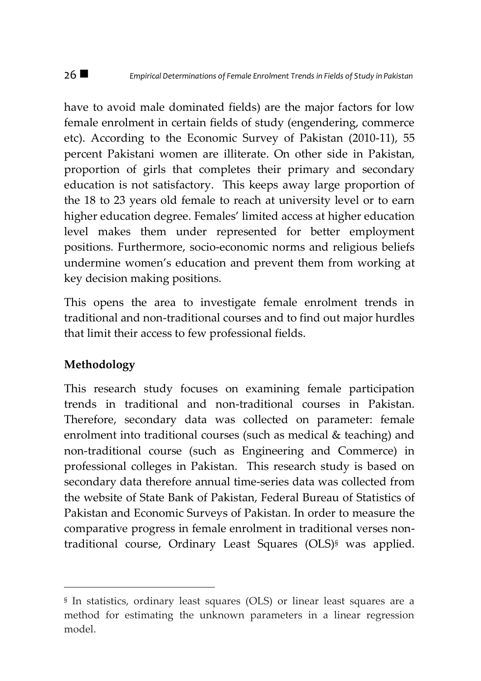have to avoid male dominated fields) are the major factors for low female enrolment in certain fields of study (engendering, commerce etc). According to the Economic Survey of Pakistan (2010-11), 55 percent Pakistani women are illiterate. On other side in Pakistan, proportion of girls that completes their primary and secondary education is not satisfactory. This keeps away large proportion of the 18 to 23 years old female to reach at university level or to earn higher education degree. Females' limited access at higher education level makes them under represented for better employment positions. Furthermore, socio-economic norms and religious beliefs undermine women's education and prevent them from working at key decision making positions.

This opens the area to investigate female enrolment trends in traditional and non-traditional courses and to find out major hurdles that limit their access to few professional fields.

## **Methodology**

 $\overline{a}$ 

This research study focuses on examining female participation trends in traditional and non-traditional courses in Pakistan. Therefore, secondary data was collected on parameter: female enrolment into traditional courses (such as medical & teaching) and non-traditional course (such as Engineering and Commerce) in professional colleges in Pakistan. This research study is based on secondary data therefore annual time-series data was collected from the website of State Bank of Pakistan, Federal Bureau of Statistics of Pakistan and Economic Surveys of Pakistan. In order to measure the comparative progress in female enrolment in traditional verses nontraditional course, Ordinary Least Squares (OLS)§ was applied.

<sup>§</sup> In statistics, ordinary least squares (OLS) or linear least squares are a method for estimating the unknown parameters in a linear regression model.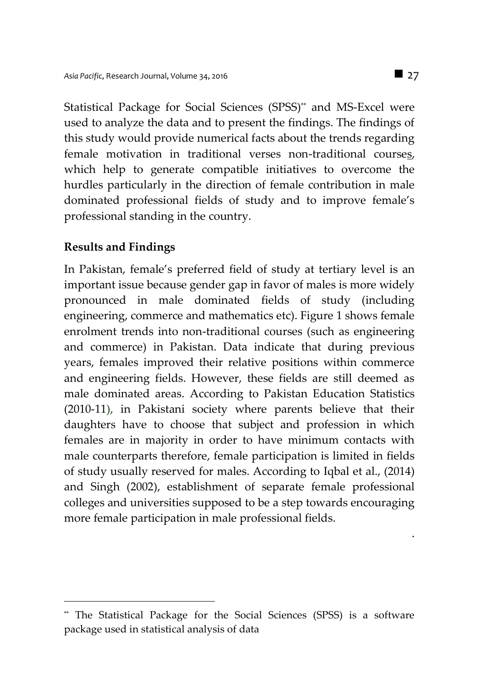Statistical Package for Social Sciences (SPSS)\*\* and MS-Excel were used to analyze the data and to present the findings. The findings of this study would provide numerical facts about the trends regarding female motivation in traditional verses non-traditional courses, which help to generate compatible initiatives to overcome the hurdles particularly in the direction of female contribution in male dominated professional fields of study and to improve female's professional standing in the country.

### **Results and Findings**

 $\overline{a}$ 

In Pakistan, female's preferred field of study at tertiary level is an important issue because gender gap in favor of males is more widely pronounced in male dominated fields of study (including engineering, commerce and mathematics etc). Figure 1 shows female enrolment trends into non-traditional courses (such as engineering and commerce) in Pakistan. Data indicate that during previous years, females improved their relative positions within commerce and engineering fields. However, these fields are still deemed as male dominated areas. According to Pakistan Education Statistics (2010-11), in Pakistani society where parents believe that their daughters have to choose that subject and profession in which females are in majority in order to have minimum contacts with male counterparts therefore, female participation is limited in fields of study usually reserved for males. According to Iqbal et al., (2014) and Singh (2002), establishment of separate female professional colleges and universities supposed to be a step towards encouraging more female participation in male professional fields.

.

The Statistical Package for the Social Sciences (SPSS) is a software package used in statistical analysis of data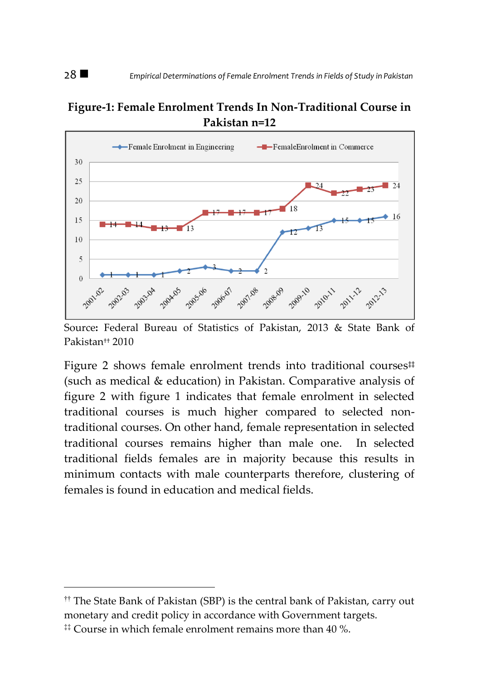### **Figure-1: Female Enrolment Trends In Non-Traditional Course in Pakistan n=12**



Source**:** Federal Bureau of Statistics of Pakistan, 2013 & State Bank of Pakistan†† 2010

Figure 2 shows female enrolment trends into traditional courses<sup>#</sup> (such as medical & education) in Pakistan. Comparative analysis of figure 2 with figure 1 indicates that female enrolment in selected traditional courses is much higher compared to selected nontraditional courses. On other hand, female representation in selected traditional courses remains higher than male one. In selected traditional fields females are in majority because this results in minimum contacts with male counterparts therefore, clustering of females is found in education and medical fields.

 $\overline{a}$ 

<sup>††</sup> The State Bank of Pakistan (SBP) is the central bank of Pakistan, carry out monetary and credit policy in accordance with Government targets.

 $\ddagger$  Course in which female enrolment remains more than 40 %.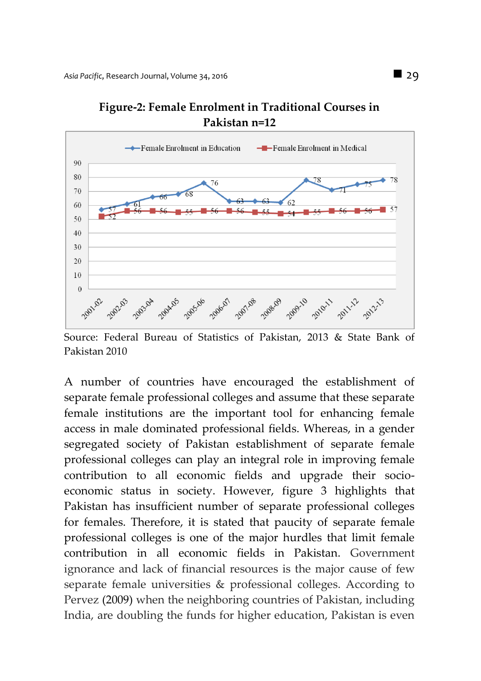

**Figure-2: Female Enrolment in Traditional Courses in Pakistan n=12**

Source: Federal Bureau of Statistics of Pakistan, 2013 & State Bank of Pakistan 2010

A number of countries have encouraged the establishment of separate female professional colleges and assume that these separate female institutions are the important tool for enhancing female access in male dominated professional fields. Whereas, in a gender segregated society of Pakistan establishment of separate female professional colleges can play an integral role in improving female contribution to all economic fields and upgrade their socioeconomic status in society. However, figure 3 highlights that Pakistan has insufficient number of separate professional colleges for females. Therefore, it is stated that paucity of separate female professional colleges is one of the major hurdles that limit female contribution in all economic fields in Pakistan. Government ignorance and lack of financial resources is the major cause of few separate female universities & professional colleges. According to Pervez (2009) when the neighboring countries of Pakistan, including India, are doubling the funds for higher education, Pakistan is even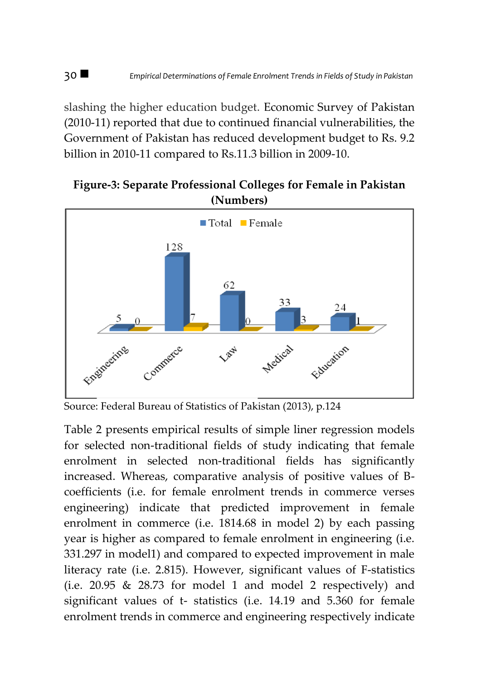slashing the higher education budget. Economic Survey of Pakistan (2010-11) reported that due to continued financial vulnerabilities, the Government of Pakistan has reduced development budget to Rs. 9.2 billion in 2010-11 compared to Rs.11.3 billion in 2009-10.

**Figure-3: Separate Professional Colleges for Female in Pakistan (Numbers)**



Source: Federal Bureau of Statistics of Pakistan (2013), p.124

Table 2 presents empirical results of simple liner regression models for selected non-traditional fields of study indicating that female enrolment in selected non-traditional fields has significantly increased. Whereas, comparative analysis of positive values of Bcoefficients (i.e. for female enrolment trends in commerce verses engineering) indicate that predicted improvement in female enrolment in commerce (i.e. 1814.68 in model 2) by each passing year is higher as compared to female enrolment in engineering (i.e. 331.297 in model1) and compared to expected improvement in male literacy rate (i.e. 2.815). However, significant values of F-statistics (i.e. 20.95 & 28.73 for model 1 and model 2 respectively) and significant values of t- statistics (i.e. 14.19 and 5.360 for female enrolment trends in commerce and engineering respectively indicate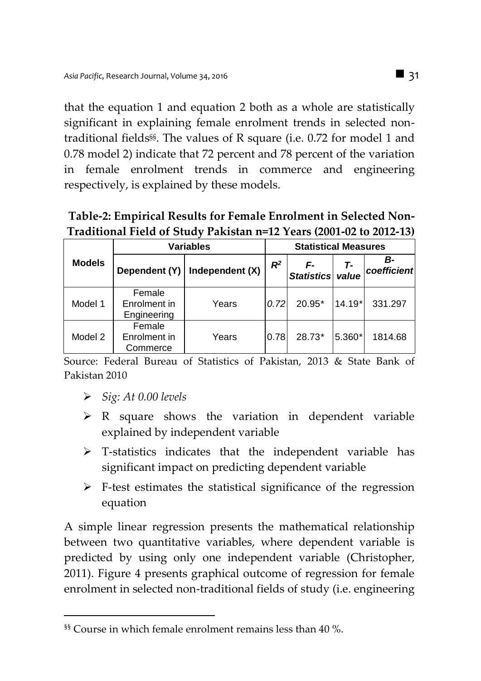that the equation 1 and equation 2 both as a whole are statistically significant in explaining female enrolment trends in selected nontraditional fields§§ . The values of R square (i.e. 0.72 for model 1 and 0.78 model 2) indicate that 72 percent and 78 percent of the variation in female enrolment trends in commerce and engineering respectively, is explained by these models.

| Table-2: Empirical Results for Female Enrolment in Selected Non-    |
|---------------------------------------------------------------------|
| Traditional Field of Study Pakistan n=12 Years (2001-02 to 2012-13) |

|               | <b>Variables</b>                      |                          |      | <b>Statistical Measures</b> |             |                   |  |
|---------------|---------------------------------------|--------------------------|------|-----------------------------|-------------|-------------------|--|
| <b>Models</b> | Dependent (Y)                         | $R^2$<br>Independent (X) |      | F-<br><b>Statistics</b>     | т.<br>value | в-<br>coefficient |  |
| Model 1       | Female<br>Enrolment in<br>Engineering | Years                    | 0.72 | 20.95*                      | $14.19*$    | 331.297           |  |
| Model 2       | Female<br>Enrolment in<br>Commerce    | Years                    | 0.78 | 28.73*                      | 5.360*      | 1814.68           |  |

Source: Federal Bureau of Statistics of Pakistan, 2013 & State Bank of Pakistan 2010

*Sig: At 0.00 levels*

 $\overline{a}$ 

- $\triangleright$  R square shows the variation in dependent variable explained by independent variable
- $\triangleright$  T-statistics indicates that the independent variable has significant impact on predicting dependent variable
- $\triangleright$  F-test estimates the statistical significance of the regression equation

A simple linear regression presents the mathematical relationship between two quantitative variables, where dependent variable is predicted by using only one independent variable (Christopher, 2011). Figure 4 presents graphical outcome of regression for female enrolment in selected non-traditional fields of study (i.e. engineering

<sup>§§</sup> Course in which female enrolment remains less than 40 %.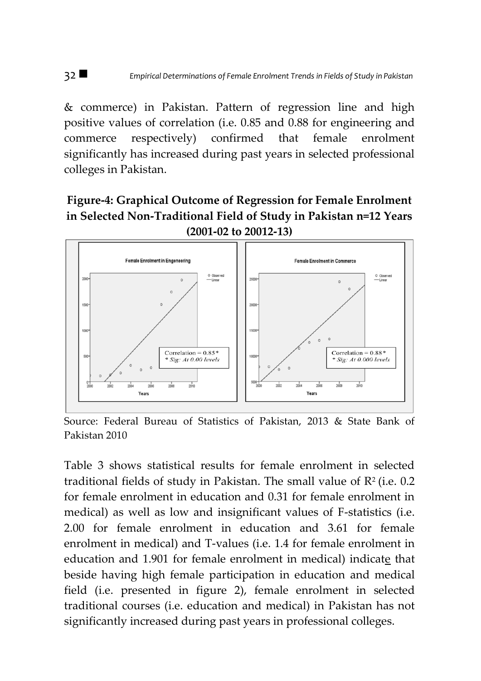& commerce) in Pakistan. Pattern of regression line and high positive values of correlation (i.e. 0.85 and 0.88 for engineering and commerce respectively) confirmed that female enrolment significantly has increased during past years in selected professional colleges in Pakistan.

**Figure-4: Graphical Outcome of Regression for Female Enrolment in Selected Non-Traditional Field of Study in Pakistan n=12 Years (2001-02 to 20012-13)** 



Source: Federal Bureau of Statistics of Pakistan, 2013 & State Bank of Pakistan 2010

Table 3 shows statistical results for female enrolment in selected traditional fields of study in Pakistan. The small value of  $\mathbb{R}^2$  (i.e. 0.2) for female enrolment in education and 0.31 for female enrolment in medical) as well as low and insignificant values of F-statistics (i.e. 2.00 for female enrolment in education and 3.61 for female enrolment in medical) and T-values (i.e. 1.4 for female enrolment in education and 1.901 for female enrolment in medical) indicate that beside having high female participation in education and medical field (i.e. presented in figure 2), female enrolment in selected traditional courses (i.e. education and medical) in Pakistan has not significantly increased during past years in professional colleges.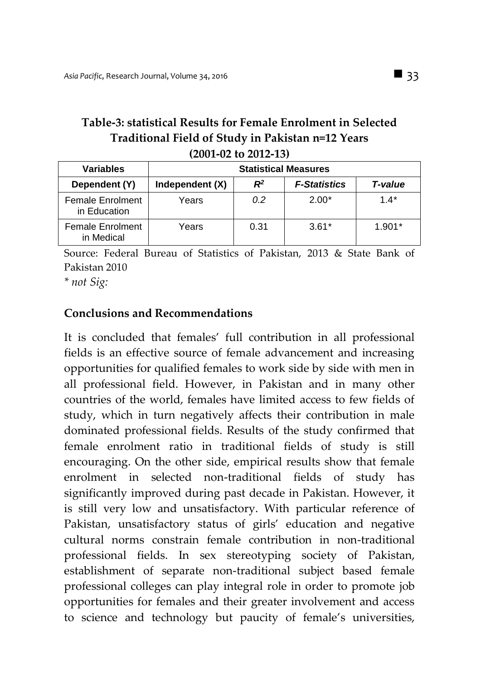### **Table-3: statistical Results for Female Enrolment in Selected Traditional Field of Study in Pakistan n=12 Years (2001-02 to 2012-13)**

| <b>Variables</b>                 | <b>Statistical Measures</b> |       |                     |          |  |  |
|----------------------------------|-----------------------------|-------|---------------------|----------|--|--|
| Dependent (Y)                    | Independent (X)             | $R^2$ | <b>F-Statistics</b> | T-value  |  |  |
| Female Enrolment<br>in Education | Years                       | 0.2   | $2.00*$             | $1.4*$   |  |  |
| Female Enrolment<br>in Medical   | Years                       | 0.31  | $3.61*$             | $1.901*$ |  |  |

Source: Federal Bureau of Statistics of Pakistan, 2013 & State Bank of Pakistan 2010

*\* not Sig:* 

#### **Conclusions and Recommendations**

It is concluded that females' full contribution in all professional fields is an effective source of female advancement and increasing opportunities for qualified females to work side by side with men in all professional field. However, in Pakistan and in many other countries of the world, females have limited access to few fields of study, which in turn negatively affects their contribution in male dominated professional fields. Results of the study confirmed that female enrolment ratio in traditional fields of study is still encouraging. On the other side, empirical results show that female enrolment in selected non-traditional fields of study has significantly improved during past decade in Pakistan. However, it is still very low and unsatisfactory. With particular reference of Pakistan, unsatisfactory status of girls' education and negative cultural norms constrain female contribution in non-traditional professional fields. In sex stereotyping society of Pakistan, establishment of separate non-traditional subject based female professional colleges can play integral role in order to promote job opportunities for females and their greater involvement and access to science and technology but paucity of female's universities,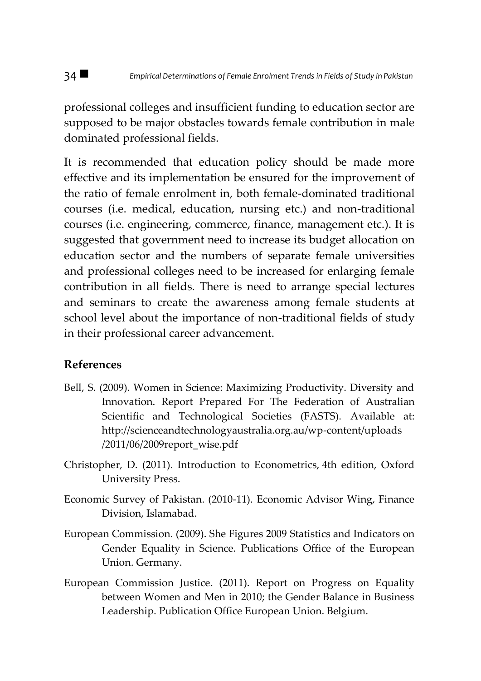professional colleges and insufficient funding to education sector are supposed to be major obstacles towards female contribution in male dominated professional fields.

It is recommended that education policy should be made more effective and its implementation be ensured for the improvement of the ratio of female enrolment in, both female-dominated traditional courses (i.e. medical, education, nursing etc.) and non-traditional courses (i.e. engineering, commerce, finance, management etc.). It is suggested that government need to increase its budget allocation on education sector and the numbers of separate female universities and professional colleges need to be increased for enlarging female contribution in all fields. There is need to arrange special lectures and seminars to create the awareness among female students at school level about the importance of non-traditional fields of study in their professional career advancement.

#### **References**

- Bell, S. (2009). Women in Science: Maximizing Productivity. Diversity and Innovation. Report Prepared For The Federation of Australian Scientific and Technological Societies (FASTS). Available at: http://scienceandtechnologyaustralia.org.au/wp-content/uploads /2011/06/2009report\_wise.pdf
- Christopher, D. (2011). Introduction to Econometrics, 4th edition, Oxford University Press.
- Economic Survey of Pakistan. (2010-11). Economic Advisor Wing, Finance Division, Islamabad.
- European Commission. (2009). She Figures 2009 Statistics and Indicators on Gender Equality in Science. Publications Office of the European Union. Germany.
- European Commission Justice. (2011). Report on Progress on Equality between Women and Men in 2010; the Gender Balance in Business Leadership. Publication Office European Union. Belgium.